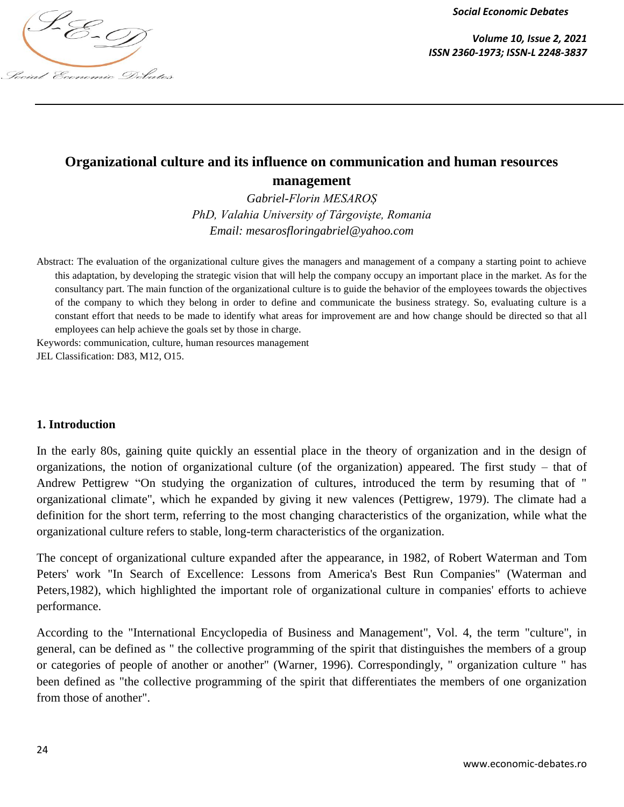

*Volume 10, Issue 2, 2021*

# **Organizational culture and its influence on communication and human resources management**

*Gabriel-Florin MESAROȘ PhD, Valahia University of Târgovişte, Romania Email: [mesarosfloringabriel@yahoo.com](mailto:mesarosfloringabriel@yahoo.com)*

Abstract: The evaluation of the organizational culture gives the managers and management of a company a starting point to achieve this adaptation, by developing the strategic vision that will help the company occupy an important place in the market. As for the consultancy part. The main function of the organizational culture is to guide the behavior of the employees towards the objectives of the company to which they belong in order to define and communicate the business strategy. So, evaluating culture is a constant effort that needs to be made to identify what areas for improvement are and how change should be directed so that all employees can help achieve the goals set by those in charge.

Keywords: communication, culture, human resources management JEL Classification: D83, M12, O15.

## **1. Introduction**

In the early 80s, gaining quite quickly an essential place in the theory of organization and in the design of organizations, the notion of organizational culture (of the organization) appeared. The first study – that of Andrew Pettigrew "On studying the organization of cultures, introduced the term by resuming that of " organizational climate", which he expanded by giving it new valences (Pettigrew, 1979). The climate had a definition for the short term, referring to the most changing characteristics of the organization, while what the organizational culture refers to stable, long-term characteristics of the organization.

The concept of organizational culture expanded after the appearance, in 1982, of Robert Waterman and Tom Peters' work "In Search of Excellence: Lessons from America's Best Run Companies" (Waterman and Peters,1982), which highlighted the important role of organizational culture in companies' efforts to achieve performance.

According to the "International Encyclopedia of Business and Management", Vol. 4, the term "culture", in general, can be defined as " the collective programming of the spirit that distinguishes the members of a group or categories of people of another or another" (Warner, 1996). Correspondingly, " organization culture " has been defined as "the collective programming of the spirit that differentiates the members of one organization from those of another".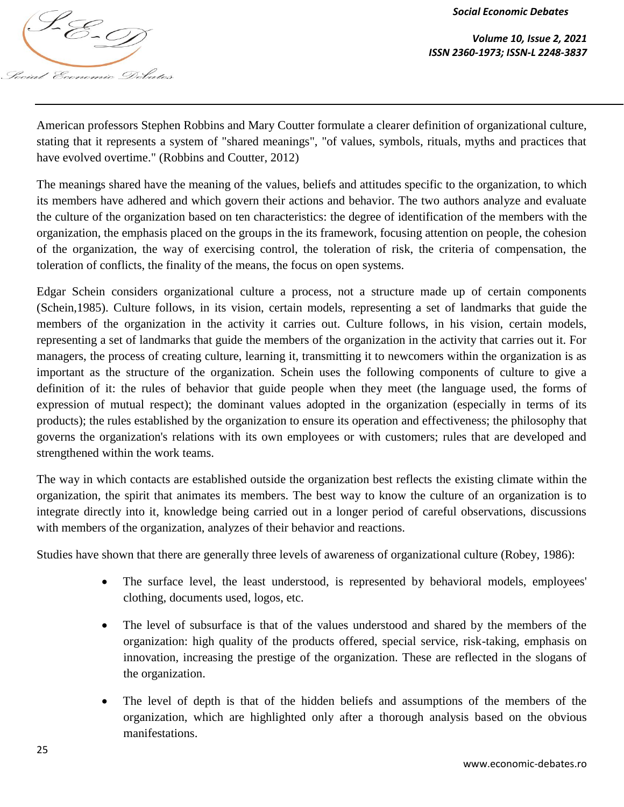*Volume 10, Issue 2, 2021 ISSN 2360-1973; ISSN-L 2248-3837*

American professors Stephen Robbins and Mary Coutter formulate a clearer definition of organizational culture, stating that it represents a system of "shared meanings", "of values, symbols, rituals, myths and practices that have evolved overtime." (Robbins and Coutter, 2012)

The meanings shared have the meaning of the values, beliefs and attitudes specific to the organization, to which its members have adhered and which govern their actions and behavior. The two authors analyze and evaluate the culture of the organization based on ten characteristics: the degree of identification of the members with the organization, the emphasis placed on the groups in the its framework, focusing attention on people, the cohesion of the organization, the way of exercising control, the toleration of risk, the criteria of compensation, the toleration of conflicts, the finality of the means, the focus on open systems.

Edgar Schein considers organizational culture a process, not a structure made up of certain components (Schein,1985). Culture follows, in its vision, certain models, representing a set of landmarks that guide the members of the organization in the activity it carries out. Culture follows, in his vision, certain models, representing a set of landmarks that guide the members of the organization in the activity that carries out it. For managers, the process of creating culture, learning it, transmitting it to newcomers within the organization is as important as the structure of the organization. Schein uses the following components of culture to give a definition of it: the rules of behavior that guide people when they meet (the language used, the forms of expression of mutual respect); the dominant values adopted in the organization (especially in terms of its products); the rules established by the organization to ensure its operation and effectiveness; the philosophy that governs the organization's relations with its own employees or with customers; rules that are developed and strengthened within the work teams.

The way in which contacts are established outside the organization best reflects the existing climate within the organization, the spirit that animates its members. The best way to know the culture of an organization is to integrate directly into it, knowledge being carried out in a longer period of careful observations, discussions with members of the organization, analyzes of their behavior and reactions.

Studies have shown that there are generally three levels of awareness of organizational culture (Robey, 1986):

- The surface level, the least understood, is represented by behavioral models, employees' clothing, documents used, logos, etc.
- The level of subsurface is that of the values understood and shared by the members of the organization: high quality of the products offered, special service, risk-taking, emphasis on innovation, increasing the prestige of the organization. These are reflected in the slogans of the organization.
- The level of depth is that of the hidden beliefs and assumptions of the members of the organization, which are highlighted only after a thorough analysis based on the obvious manifestations.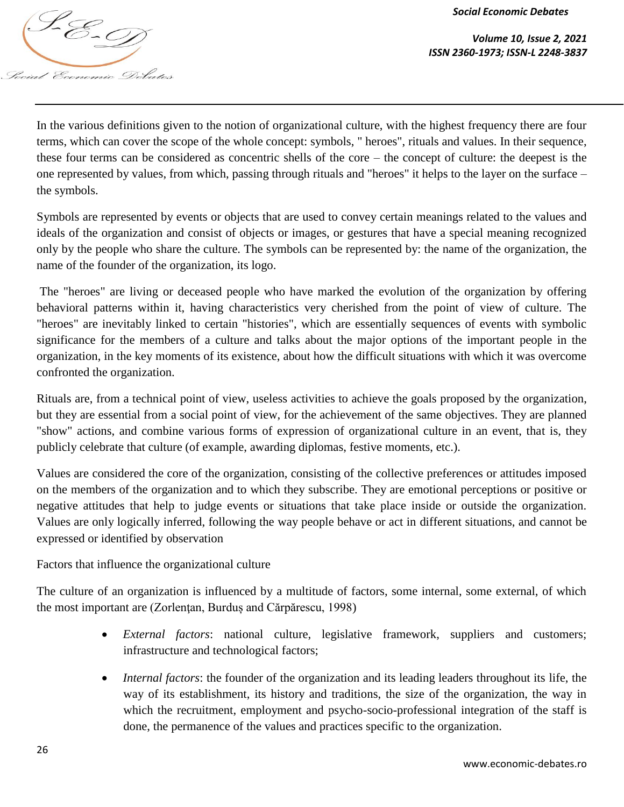

*Volume 10, Issue 2, 2021*

In the various definitions given to the notion of organizational culture, with the highest frequency there are four terms, which can cover the scope of the whole concept: symbols, " heroes", rituals and values. In their sequence, these four terms can be considered as concentric shells of the core – the concept of culture: the deepest is the one represented by values, from which, passing through rituals and "heroes" it helps to the layer on the surface – the symbols.

Symbols are represented by events or objects that are used to convey certain meanings related to the values and ideals of the organization and consist of objects or images, or gestures that have a special meaning recognized only by the people who share the culture. The symbols can be represented by: the name of the organization, the name of the founder of the organization, its logo.

The "heroes" are living or deceased people who have marked the evolution of the organization by offering behavioral patterns within it, having characteristics very cherished from the point of view of culture. The "heroes" are inevitably linked to certain "histories", which are essentially sequences of events with symbolic significance for the members of a culture and talks about the major options of the important people in the organization, in the key moments of its existence, about how the difficult situations with which it was overcome confronted the organization.

Rituals are, from a technical point of view, useless activities to achieve the goals proposed by the organization, but they are essential from a social point of view, for the achievement of the same objectives. They are planned "show" actions, and combine various forms of expression of organizational culture in an event, that is, they publicly celebrate that culture (of example, awarding diplomas, festive moments, etc.).

Values are considered the core of the organization, consisting of the collective preferences or attitudes imposed on the members of the organization and to which they subscribe. They are emotional perceptions or positive or negative attitudes that help to judge events or situations that take place inside or outside the organization. Values are only logically inferred, following the way people behave or act in different situations, and cannot be expressed or identified by observation

Factors that influence the organizational culture

The culture of an organization is influenced by a multitude of factors, some internal, some external, of which the most important are (Zorlențan, Burduș and Cărpărescu, 1998)

- *External factors*: national culture, legislative framework, suppliers and customers; infrastructure and technological factors;
- *Internal factors*: the founder of the organization and its leading leaders throughout its life, the way of its establishment, its history and traditions, the size of the organization, the way in which the recruitment, employment and psycho-socio-professional integration of the staff is done, the permanence of the values and practices specific to the organization.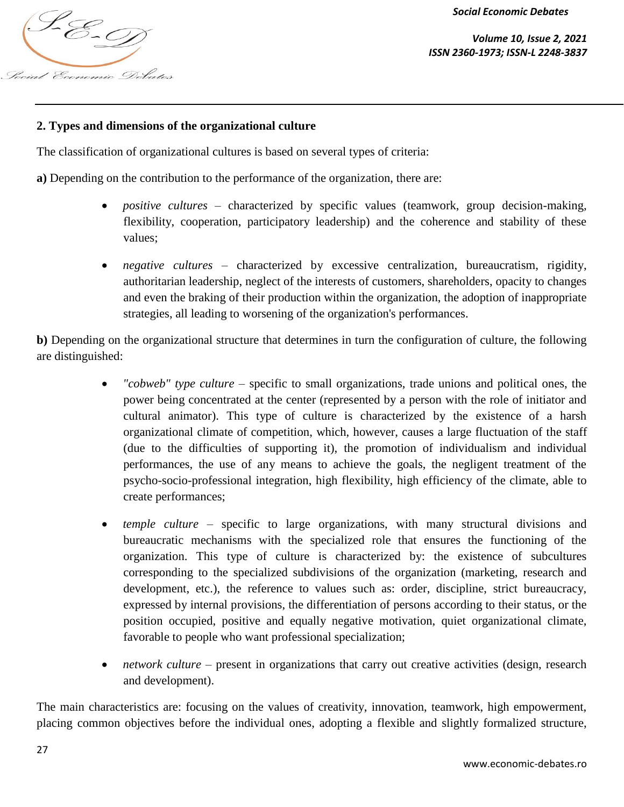*<u><i>IS*</u> <u>Colume</u> 10, Issue 2, 2021<br>ISSN 2360-1973; ISSN-L 2248-3837 j Social Economic Debates

*Volume 10, Issue 2, 2021*

## **2. Types and dimensions of the organizational culture**

The classification of organizational cultures is based on several types of criteria:

**a)** Depending on the contribution to the performance of the organization, there are:

- *positive cultures* characterized by specific values (teamwork, group decision-making, flexibility, cooperation, participatory leadership) and the coherence and stability of these values;
- *negative cultures* characterized by excessive centralization, bureaucratism, rigidity, authoritarian leadership, neglect of the interests of customers, shareholders, opacity to changes and even the braking of their production within the organization, the adoption of inappropriate strategies, all leading to worsening of the organization's performances.

**b)** Depending on the organizational structure that determines in turn the configuration of culture, the following are distinguished:

- *"cobweb" type culture* specific to small organizations, trade unions and political ones, the power being concentrated at the center (represented by a person with the role of initiator and cultural animator). This type of culture is characterized by the existence of a harsh organizational climate of competition, which, however, causes a large fluctuation of the staff (due to the difficulties of supporting it), the promotion of individualism and individual performances, the use of any means to achieve the goals, the negligent treatment of the psycho-socio-professional integration, high flexibility, high efficiency of the climate, able to create performances;
- *temple culture* specific to large organizations, with many structural divisions and bureaucratic mechanisms with the specialized role that ensures the functioning of the organization. This type of culture is characterized by: the existence of subcultures corresponding to the specialized subdivisions of the organization (marketing, research and development, etc.), the reference to values such as: order, discipline, strict bureaucracy, expressed by internal provisions, the differentiation of persons according to their status, or the position occupied, positive and equally negative motivation, quiet organizational climate, favorable to people who want professional specialization;
- *network culture* present in organizations that carry out creative activities (design, research and development).

The main characteristics are: focusing on the values of creativity, innovation, teamwork, high empowerment, placing common objectives before the individual ones, adopting a flexible and slightly formalized structure,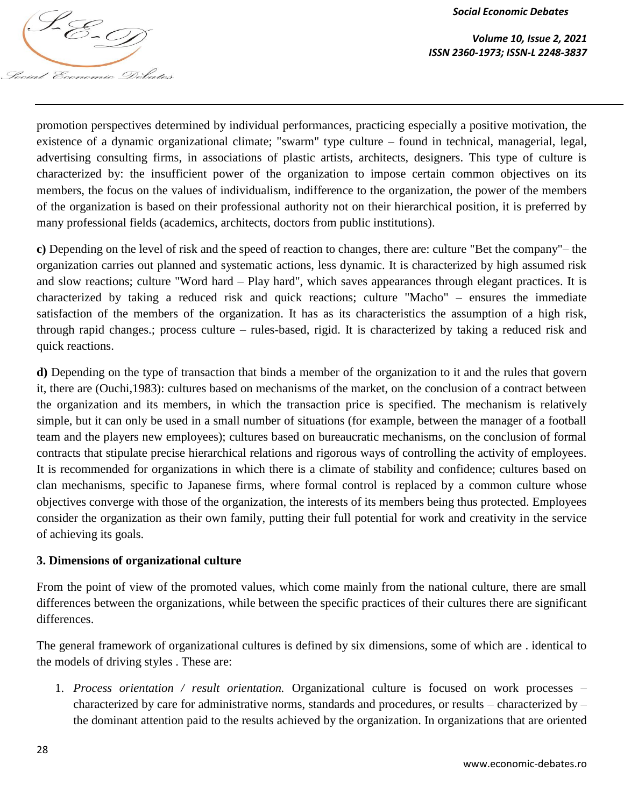

*Volume 10, Issue 2, 2021 ISSN 2360-1973; ISSN-L 2248-3837*

promotion perspectives determined by individual performances, practicing especially a positive motivation, the existence of a dynamic organizational climate; "swarm" type culture – found in technical, managerial, legal, advertising consulting firms, in associations of plastic artists, architects, designers. This type of culture is characterized by: the insufficient power of the organization to impose certain common objectives on its members, the focus on the values of individualism, indifference to the organization, the power of the members of the organization is based on their professional authority not on their hierarchical position, it is preferred by many professional fields (academics, architects, doctors from public institutions).

**c)** Depending on the level of risk and the speed of reaction to changes, there are: culture "Bet the company"– the organization carries out planned and systematic actions, less dynamic. It is characterized by high assumed risk and slow reactions; culture "Word hard – Play hard", which saves appearances through elegant practices. It is characterized by taking a reduced risk and quick reactions; culture "Macho" – ensures the immediate satisfaction of the members of the organization. It has as its characteristics the assumption of a high risk, through rapid changes.; process culture – rules-based, rigid. It is characterized by taking a reduced risk and quick reactions.

**d)** Depending on the type of transaction that binds a member of the organization to it and the rules that govern it, there are (Ouchi,1983): cultures based on mechanisms of the market, on the conclusion of a contract between the organization and its members, in which the transaction price is specified. The mechanism is relatively simple, but it can only be used in a small number of situations (for example, between the manager of a football team and the players new employees); cultures based on bureaucratic mechanisms, on the conclusion of formal contracts that stipulate precise hierarchical relations and rigorous ways of controlling the activity of employees. It is recommended for organizations in which there is a climate of stability and confidence; cultures based on clan mechanisms, specific to Japanese firms, where formal control is replaced by a common culture whose objectives converge with those of the organization, the interests of its members being thus protected. Employees consider the organization as their own family, putting their full potential for work and creativity in the service of achieving its goals.

## **3. Dimensions of organizational culture**

From the point of view of the promoted values, which come mainly from the national culture, there are small differences between the organizations, while between the specific practices of their cultures there are significant differences.

The general framework of organizational cultures is defined by six dimensions, some of which are . identical to the models of driving styles . These are:

1. *Process orientation / result orientation.* Organizational culture is focused on work processes – characterized by care for administrative norms, standards and procedures, or results – characterized by – the dominant attention paid to the results achieved by the organization. In organizations that are oriented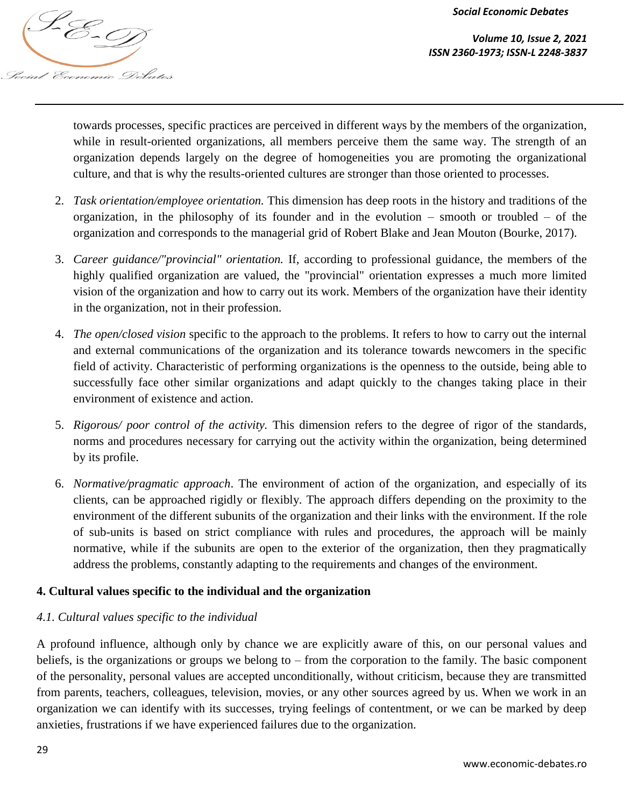

*Volume 10, Issue 2, 2021*

towards processes, specific practices are perceived in different ways by the members of the organization, while in result-oriented organizations, all members perceive them the same way. The strength of an organization depends largely on the degree of homogeneities you are promoting the organizational culture, and that is why the results-oriented cultures are stronger than those oriented to processes.

- 2. *Task orientation/employee orientation.* This dimension has deep roots in the history and traditions of the organization, in the philosophy of its founder and in the evolution – smooth or troubled – of the organization and corresponds to the managerial grid of Robert Blake and Jean Mouton (Bourke, 2017).
- 3. *Career guidance/"provincial" orientation.* If, according to professional guidance, the members of the highly qualified organization are valued, the "provincial" orientation expresses a much more limited vision of the organization and how to carry out its work. Members of the organization have their identity in the organization, not in their profession.
- 4. *The open/closed vision* specific to the approach to the problems. It refers to how to carry out the internal and external communications of the organization and its tolerance towards newcomers in the specific field of activity. Characteristic of performing organizations is the openness to the outside, being able to successfully face other similar organizations and adapt quickly to the changes taking place in their environment of existence and action.
- 5. *Rigorous/ poor control of the activity.* This dimension refers to the degree of rigor of the standards, norms and procedures necessary for carrying out the activity within the organization, being determined by its profile.
- 6. *Normative/pragmatic approach*. The environment of action of the organization, and especially of its clients, can be approached rigidly or flexibly. The approach differs depending on the proximity to the environment of the different subunits of the organization and their links with the environment. If the role of sub-units is based on strict compliance with rules and procedures, the approach will be mainly normative, while if the subunits are open to the exterior of the organization, then they pragmatically address the problems, constantly adapting to the requirements and changes of the environment.

# **4. Cultural values specific to the individual and the organization**

# *4.1. Cultural values specific to the individual*

A profound influence, although only by chance we are explicitly aware of this, on our personal values and beliefs, is the organizations or groups we belong to – from the corporation to the family. The basic component of the personality, personal values are accepted unconditionally, without criticism, because they are transmitted from parents, teachers, colleagues, television, movies, or any other sources agreed by us. When we work in an organization we can identify with its successes, trying feelings of contentment, or we can be marked by deep anxieties, frustrations if we have experienced failures due to the organization.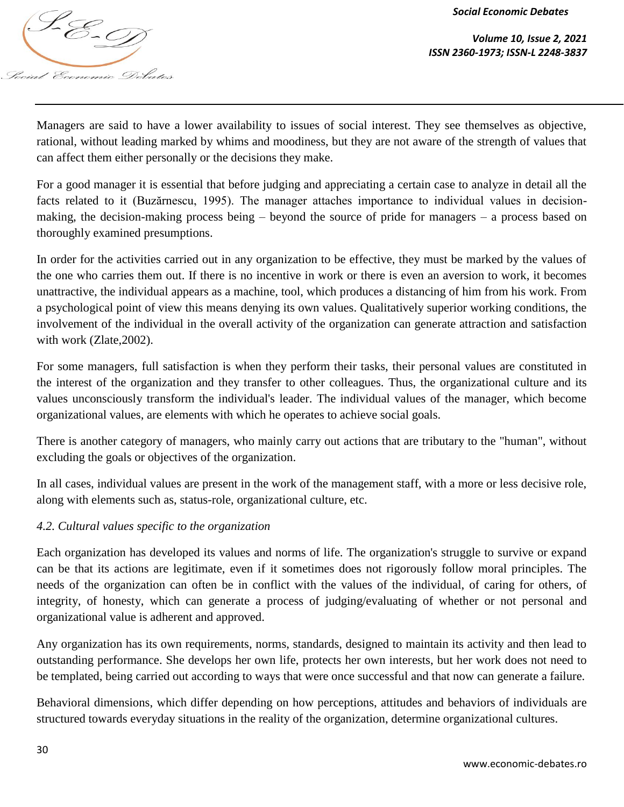

*Volume 10, Issue 2, 2021*

Managers are said to have a lower availability to issues of social interest. They see themselves as objective, rational, without leading marked by whims and moodiness, but they are not aware of the strength of values that can affect them either personally or the decisions they make.

For a good manager it is essential that before judging and appreciating a certain case to analyze in detail all the facts related to it (Buzărnescu, 1995). The manager attaches importance to individual values in decisionmaking, the decision-making process being – beyond the source of pride for managers – a process based on thoroughly examined presumptions.

In order for the activities carried out in any organization to be effective, they must be marked by the values of the one who carries them out. If there is no incentive in work or there is even an aversion to work, it becomes unattractive, the individual appears as a machine, tool, which produces a distancing of him from his work. From a psychological point of view this means denying its own values. Qualitatively superior working conditions, the involvement of the individual in the overall activity of the organization can generate attraction and satisfaction with work (Zlate,2002).

For some managers, full satisfaction is when they perform their tasks, their personal values are constituted in the interest of the organization and they transfer to other colleagues. Thus, the organizational culture and its values unconsciously transform the individual's leader. The individual values of the manager, which become organizational values, are elements with which he operates to achieve social goals.

There is another category of managers, who mainly carry out actions that are tributary to the "human", without excluding the goals or objectives of the organization.

In all cases, individual values are present in the work of the management staff, with a more or less decisive role, along with elements such as, status-role, organizational culture, etc.

# *4.2. Cultural values specific to the organization*

Each organization has developed its values and norms of life. The organization's struggle to survive or expand can be that its actions are legitimate, even if it sometimes does not rigorously follow moral principles. The needs of the organization can often be in conflict with the values of the individual, of caring for others, of integrity, of honesty, which can generate a process of judging/evaluating of whether or not personal and organizational value is adherent and approved.

Any organization has its own requirements, norms, standards, designed to maintain its activity and then lead to outstanding performance. She develops her own life, protects her own interests, but her work does not need to be templated, being carried out according to ways that were once successful and that now can generate a failure.

Behavioral dimensions, which differ depending on how perceptions, attitudes and behaviors of individuals are structured towards everyday situations in the reality of the organization, determine organizational cultures.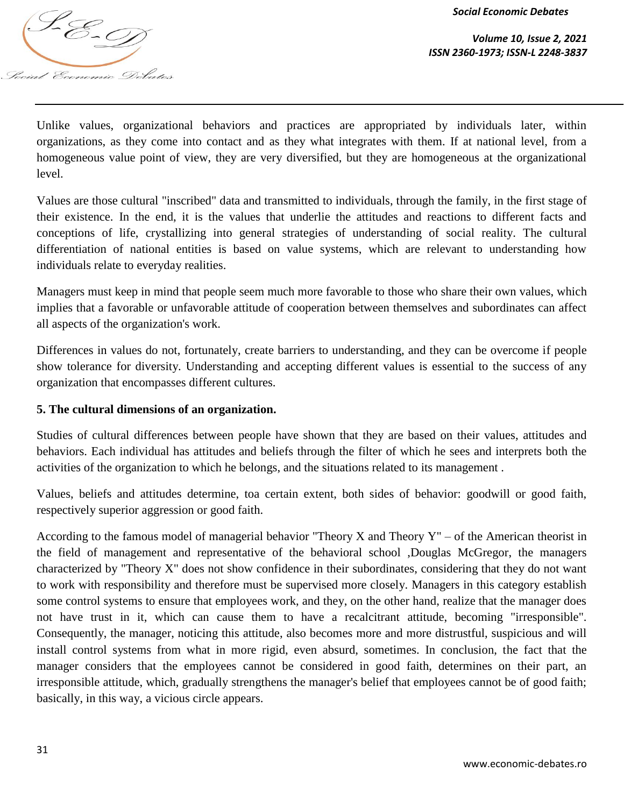

*Volume 10, Issue 2, 2021 ISSN 2360-1973; ISSN-L 2248-3837*

Unlike values, organizational behaviors and practices are appropriated by individuals later, within organizations, as they come into contact and as they what integrates with them. If at national level, from a homogeneous value point of view, they are very diversified, but they are homogeneous at the organizational level.

Values are those cultural "inscribed" data and transmitted to individuals, through the family, in the first stage of their existence. In the end, it is the values that underlie the attitudes and reactions to different facts and conceptions of life, crystallizing into general strategies of understanding of social reality. The cultural differentiation of national entities is based on value systems, which are relevant to understanding how individuals relate to everyday realities.

Managers must keep in mind that people seem much more favorable to those who share their own values, which implies that a favorable or unfavorable attitude of cooperation between themselves and subordinates can affect all aspects of the organization's work.

Differences in values do not, fortunately, create barriers to understanding, and they can be overcome if people show tolerance for diversity. Understanding and accepting different values is essential to the success of any organization that encompasses different cultures.

# **5. The cultural dimensions of an organization.**

Studies of cultural differences between people have shown that they are based on their values, attitudes and behaviors. Each individual has attitudes and beliefs through the filter of which he sees and interprets both the activities of the organization to which he belongs, and the situations related to its management .

Values, beliefs and attitudes determine, toa certain extent, both sides of behavior: goodwill or good faith, respectively superior aggression or good faith.

According to the famous model of managerial behavior "Theory X and Theory  $Y'' -$  of the American theorist in the field of management and representative of the behavioral school ,Douglas McGregor, the managers characterized by "Theory X" does not show confidence in their subordinates, considering that they do not want to work with responsibility and therefore must be supervised more closely. Managers in this category establish some control systems to ensure that employees work, and they, on the other hand, realize that the manager does not have trust in it, which can cause them to have a recalcitrant attitude, becoming "irresponsible". Consequently, the manager, noticing this attitude, also becomes more and more distrustful, suspicious and will install control systems from what in more rigid, even absurd, sometimes. In conclusion, the fact that the manager considers that the employees cannot be considered in good faith, determines on their part, an irresponsible attitude, which, gradually strengthens the manager's belief that employees cannot be of good faith; basically, in this way, a vicious circle appears.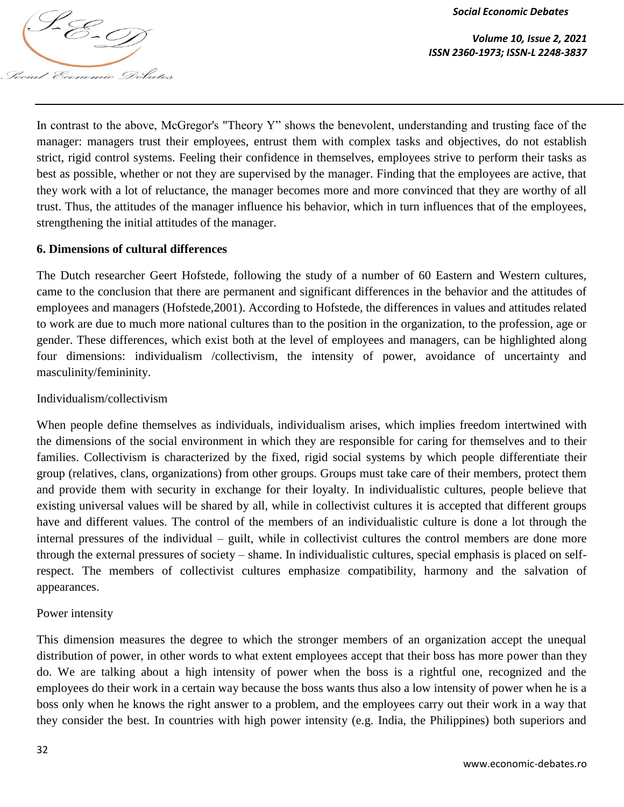

*Volume 10, Issue 2, 2021 ISSN 2360-1973; ISSN-L 2248-3837*

In contrast to the above, McGregor's "Theory Y" shows the benevolent, understanding and trusting face of the manager: managers trust their employees, entrust them with complex tasks and objectives, do not establish strict, rigid control systems. Feeling their confidence in themselves, employees strive to perform their tasks as best as possible, whether or not they are supervised by the manager. Finding that the employees are active, that they work with a lot of reluctance, the manager becomes more and more convinced that they are worthy of all trust. Thus, the attitudes of the manager influence his behavior, which in turn influences that of the employees, strengthening the initial attitudes of the manager.

## **6. Dimensions of cultural differences**

The Dutch researcher Geert Hofstede, following the study of a number of 60 Eastern and Western cultures, came to the conclusion that there are permanent and significant differences in the behavior and the attitudes of employees and managers (Hofstede,2001). According to Hofstede, the differences in values and attitudes related to work are due to much more national cultures than to the position in the organization, to the profession, age or gender. These differences, which exist both at the level of employees and managers, can be highlighted along four dimensions: individualism /collectivism, the intensity of power, avoidance of uncertainty and masculinity/femininity.

## Individualism/collectivism

When people define themselves as individuals, individualism arises, which implies freedom intertwined with the dimensions of the social environment in which they are responsible for caring for themselves and to their families. Collectivism is characterized by the fixed, rigid social systems by which people differentiate their group (relatives, clans, organizations) from other groups. Groups must take care of their members, protect them and provide them with security in exchange for their loyalty. In individualistic cultures, people believe that existing universal values will be shared by all, while in collectivist cultures it is accepted that different groups have and different values. The control of the members of an individualistic culture is done a lot through the internal pressures of the individual – guilt, while in collectivist cultures the control members are done more through the external pressures of society – shame. In individualistic cultures, special emphasis is placed on selfrespect. The members of collectivist cultures emphasize compatibility, harmony and the salvation of appearances.

## Power intensity

This dimension measures the degree to which the stronger members of an organization accept the unequal distribution of power, in other words to what extent employees accept that their boss has more power than they do. We are talking about a high intensity of power when the boss is a rightful one, recognized and the employees do their work in a certain way because the boss wants thus also a low intensity of power when he is a boss only when he knows the right answer to a problem, and the employees carry out their work in a way that they consider the best. In countries with high power intensity (e.g. India, the Philippines) both superiors and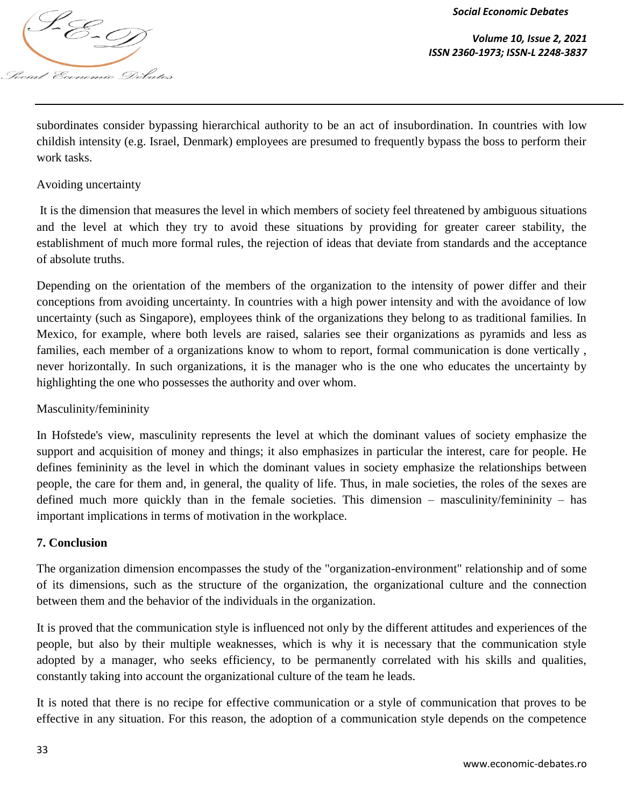

*Volume 10, Issue 2, 2021 ISSN 2360-1973; ISSN-L 2248-3837*

subordinates consider bypassing hierarchical authority to be an act of insubordination. In countries with low childish intensity (e.g. Israel, Denmark) employees are presumed to frequently bypass the boss to perform their work tasks.

# Avoiding uncertainty

It is the dimension that measures the level in which members of society feel threatened by ambiguous situations and the level at which they try to avoid these situations by providing for greater career stability, the establishment of much more formal rules, the rejection of ideas that deviate from standards and the acceptance of absolute truths.

Depending on the orientation of the members of the organization to the intensity of power differ and their conceptions from avoiding uncertainty. In countries with a high power intensity and with the avoidance of low uncertainty (such as Singapore), employees think of the organizations they belong to as traditional families. In Mexico, for example, where both levels are raised, salaries see their organizations as pyramids and less as families, each member of a organizations know to whom to report, formal communication is done vertically , never horizontally. In such organizations, it is the manager who is the one who educates the uncertainty by highlighting the one who possesses the authority and over whom.

# Masculinity/femininity

In Hofstede's view, masculinity represents the level at which the dominant values of society emphasize the support and acquisition of money and things; it also emphasizes in particular the interest, care for people. He defines femininity as the level in which the dominant values in society emphasize the relationships between people, the care for them and, in general, the quality of life. Thus, in male societies, the roles of the sexes are defined much more quickly than in the female societies. This dimension – masculinity/femininity – has important implications in terms of motivation in the workplace.

## **7. Conclusion**

The organization dimension encompasses the study of the "organization-environment" relationship and of some of its dimensions, such as the structure of the organization, the organizational culture and the connection between them and the behavior of the individuals in the organization.

It is proved that the communication style is influenced not only by the different attitudes and experiences of the people, but also by their multiple weaknesses, which is why it is necessary that the communication style adopted by a manager, who seeks efficiency, to be permanently correlated with his skills and qualities, constantly taking into account the organizational culture of the team he leads.

It is noted that there is no recipe for effective communication or a style of communication that proves to be effective in any situation. For this reason, the adoption of a communication style depends on the competence